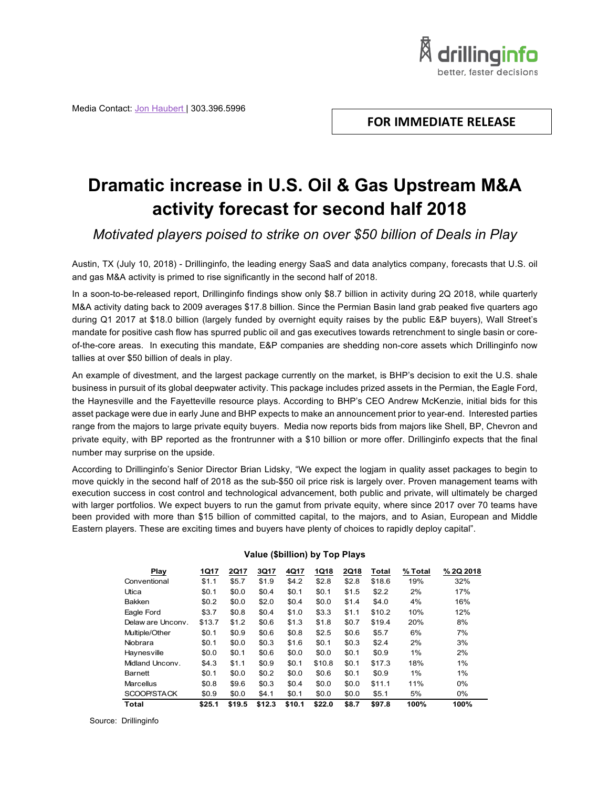Media Contact: Jon Haubert | 303.396.5996

# **FOR IMMEDIATE RELEASE**

drillinginfo better, faster decision

# **Dramatic increase in U.S. Oil & Gas Upstream M&A activity forecast for second half 2018**

*Motivated players poised to strike on over \$50 billion of Deals in Play*

Austin, TX (July 10, 2018) - Drillinginfo, the leading energy SaaS and data analytics company, forecasts that U.S. oil and gas M&A activity is primed to rise significantly in the second half of 2018.

In a soon-to-be-released report, Drillinginfo findings show only \$8.7 billion in activity during 2Q 2018, while quarterly M&A activity dating back to 2009 averages \$17.8 billion. Since the Permian Basin land grab peaked five quarters ago during Q1 2017 at \$18.0 billion (largely funded by overnight equity raises by the public E&P buyers), Wall Street's mandate for positive cash flow has spurred public oil and gas executives towards retrenchment to single basin or coreof-the-core areas. In executing this mandate, E&P companies are shedding non-core assets which Drillinginfo now tallies at over \$50 billion of deals in play.

An example of divestment, and the largest package currently on the market, is BHP's decision to exit the U.S. shale business in pursuit of its global deepwater activity. This package includes prized assets in the Permian, the Eagle Ford, the Haynesville and the Fayetteville resource plays. According to BHP's CEO Andrew McKenzie, initial bids for this asset package were due in early June and BHP expects to make an announcement prior to year-end. Interested parties range from the majors to large private equity buyers. Media now reports bids from majors like Shell, BP, Chevron and private equity, with BP reported as the frontrunner with a \$10 billion or more offer. Drillinginfo expects that the final number may surprise on the upside.

According to Drillinginfo's Senior Director Brian Lidsky, "We expect the logjam in quality asset packages to begin to move quickly in the second half of 2018 as the sub-\$50 oil price risk is largely over. Proven management teams with execution success in cost control and technological advancement, both public and private, will ultimately be charged with larger portfolios. We expect buyers to run the gamut from private equity, where since 2017 over 70 teams have been provided with more than \$15 billion of committed capital, to the majors, and to Asian, European and Middle Eastern players. These are exciting times and buyers have plenty of choices to rapidly deploy capital".

| Play              | 1Q17   | 2Q17   | 3Q17   | 4Q17   | 1Q18   | 2Q18  | Total  | % Total | % 2Q 2018 |
|-------------------|--------|--------|--------|--------|--------|-------|--------|---------|-----------|
| Conventional      | \$1.1  | \$5.7  | \$1.9  | \$4.2  | \$2.8  | \$2.8 | \$18.6 | 19%     | 32%       |
| Utica             | \$0.1  | \$0.0  | \$0.4  | \$0.1  | \$0.1  | \$1.5 | \$2.2  | 2%      | 17%       |
| <b>Bakken</b>     | \$0.2  | \$0.0  | \$2.0  | \$0.4  | \$0.0  | \$1.4 | \$4.0  | 4%      | 16%       |
| Eagle Ford        | \$3.7  | \$0.8  | \$0.4  | \$1.0  | \$3.3  | \$1.1 | \$10.2 | 10%     | 12%       |
| Delaw are Uncony. | \$13.7 | \$1.2  | \$0.6  | \$1.3  | \$1.8  | \$0.7 | \$19.4 | 20%     | 8%        |
| Multiple/Other    | \$0.1  | \$0.9  | \$0.6  | \$0.8  | \$2.5  | \$0.6 | \$5.7  | 6%      | 7%        |
| Niobrara          | \$0.1  | \$0.0  | \$0.3  | \$1.6  | \$0.1  | \$0.3 | \$2.4  | 2%      | 3%        |
| Haynesville       | \$0.0  | \$0.1  | \$0.6  | \$0.0  | \$0.0  | \$0.1 | \$0.9  | 1%      | 2%        |
| Midland Unconv    | \$4.3  | \$1.1  | \$0.9  | \$0.1  | \$10.8 | \$0.1 | \$17.3 | 18%     | 1%        |
| Barnett           | \$0.1  | \$0.0  | \$0.2  | \$0.0  | \$0.6  | \$0.1 | \$0.9  | 1%      | 1%        |
| Marcellus         | \$0.8  | \$9.6  | \$0.3  | \$0.4  | \$0.0  | \$0.0 | \$11.1 | 11%     | 0%        |
| SCOOP/STACK       | \$0.9  | \$0.0  | \$4.1  | \$0.1  | \$0.0  | \$0.0 | \$5.1  | 5%      | $0\%$     |
| <b>Total</b>      | \$25.1 | \$19.5 | \$12.3 | \$10.1 | \$22.0 | \$8.7 | \$97.8 | 100%    | 100%      |

#### **Value (\$billion) by Top Plays**

Source: Drillinginfo